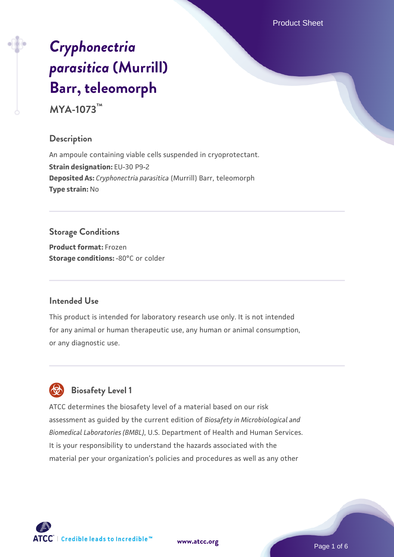Product Sheet

# *[Cryphonectria](https://www.atcc.org/products/mya-1073) [parasitica](https://www.atcc.org/products/mya-1073)* **[\(Murrill\)](https://www.atcc.org/products/mya-1073) [Barr, teleomorph](https://www.atcc.org/products/mya-1073)**

**MYA-1073™**

## **Description**

An ampoule containing viable cells suspended in cryoprotectant. **Strain designation:** EU-30 P9-2 **Deposited As:** *Cryphonectria parasitica* (Murrill) Barr, teleomorph **Type strain:** No

## **Storage Conditions**

**Product format:** Frozen **Storage conditions: -80°C** or colder

## **Intended Use**

This product is intended for laboratory research use only. It is not intended for any animal or human therapeutic use, any human or animal consumption, or any diagnostic use.



# **Biosafety Level 1**

ATCC determines the biosafety level of a material based on our risk assessment as guided by the current edition of *Biosafety in Microbiological and Biomedical Laboratories (BMBL)*, U.S. Department of Health and Human Services. It is your responsibility to understand the hazards associated with the material per your organization's policies and procedures as well as any other

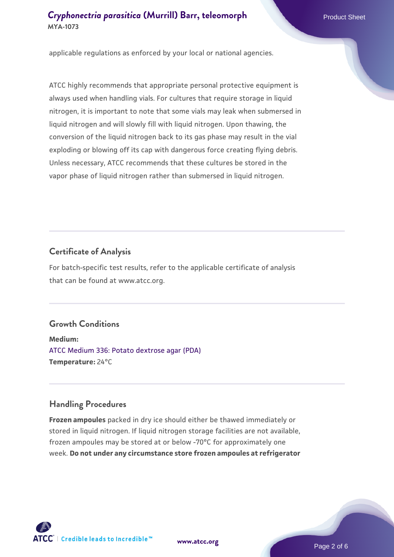applicable regulations as enforced by your local or national agencies.

ATCC highly recommends that appropriate personal protective equipment is always used when handling vials. For cultures that require storage in liquid nitrogen, it is important to note that some vials may leak when submersed in liquid nitrogen and will slowly fill with liquid nitrogen. Upon thawing, the conversion of the liquid nitrogen back to its gas phase may result in the vial exploding or blowing off its cap with dangerous force creating flying debris. Unless necessary, ATCC recommends that these cultures be stored in the vapor phase of liquid nitrogen rather than submersed in liquid nitrogen.

#### **Certificate of Analysis**

For batch-specific test results, refer to the applicable certificate of analysis that can be found at www.atcc.org.

## **Growth Conditions**

**Medium:**  [ATCC Medium 336: Potato dextrose agar \(PDA\)](https://www.atcc.org/-/media/product-assets/documents/microbial-media-formulations/3/3/6/atcc-medium-336.pdf?rev=d9160ad44d934cd8b65175461abbf3b9) **Temperature:** 24°C

#### **Handling Procedures**

**Frozen ampoules** packed in dry ice should either be thawed immediately or stored in liquid nitrogen. If liquid nitrogen storage facilities are not available, frozen ampoules may be stored at or below -70°C for approximately one week. **Do not under any circumstance store frozen ampoules at refrigerator**



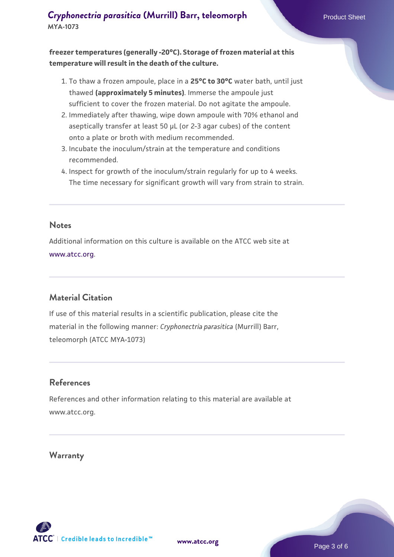**freezer temperatures (generally -20°C). Storage of frozen material at this temperature will result in the death of the culture.**

- 1. To thaw a frozen ampoule, place in a **25°C to 30°C** water bath, until just thawed **(approximately 5 minutes)**. Immerse the ampoule just sufficient to cover the frozen material. Do not agitate the ampoule.
- 2. Immediately after thawing, wipe down ampoule with 70% ethanol and aseptically transfer at least 50 µL (or 2-3 agar cubes) of the content onto a plate or broth with medium recommended.
- 3. Incubate the inoculum/strain at the temperature and conditions recommended.
- 4. Inspect for growth of the inoculum/strain regularly for up to 4 weeks. The time necessary for significant growth will vary from strain to strain.

#### **Notes**

Additional information on this culture is available on the ATCC web site at [www.atcc.org.](http://www.atcc.org/)

## **Material Citation**

If use of this material results in a scientific publication, please cite the material in the following manner: *Cryphonectria parasitica* (Murrill) Barr, teleomorph (ATCC MYA-1073)

#### **References**

References and other information relating to this material are available at www.atcc.org.

#### **Warranty**

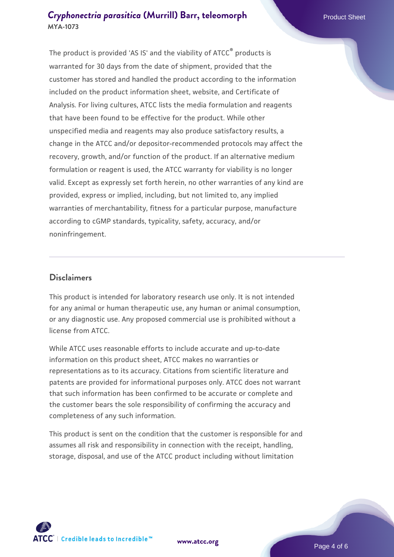The product is provided 'AS IS' and the viability of ATCC® products is warranted for 30 days from the date of shipment, provided that the customer has stored and handled the product according to the information included on the product information sheet, website, and Certificate of Analysis. For living cultures, ATCC lists the media formulation and reagents that have been found to be effective for the product. While other unspecified media and reagents may also produce satisfactory results, a change in the ATCC and/or depositor-recommended protocols may affect the recovery, growth, and/or function of the product. If an alternative medium formulation or reagent is used, the ATCC warranty for viability is no longer valid. Except as expressly set forth herein, no other warranties of any kind are provided, express or implied, including, but not limited to, any implied warranties of merchantability, fitness for a particular purpose, manufacture according to cGMP standards, typicality, safety, accuracy, and/or noninfringement.

#### **Disclaimers**

This product is intended for laboratory research use only. It is not intended for any animal or human therapeutic use, any human or animal consumption, or any diagnostic use. Any proposed commercial use is prohibited without a license from ATCC.

While ATCC uses reasonable efforts to include accurate and up-to-date information on this product sheet, ATCC makes no warranties or representations as to its accuracy. Citations from scientific literature and patents are provided for informational purposes only. ATCC does not warrant that such information has been confirmed to be accurate or complete and the customer bears the sole responsibility of confirming the accuracy and completeness of any such information.

This product is sent on the condition that the customer is responsible for and assumes all risk and responsibility in connection with the receipt, handling, storage, disposal, and use of the ATCC product including without limitation



**[www.atcc.org](http://www.atcc.org)**

Page 4 of 6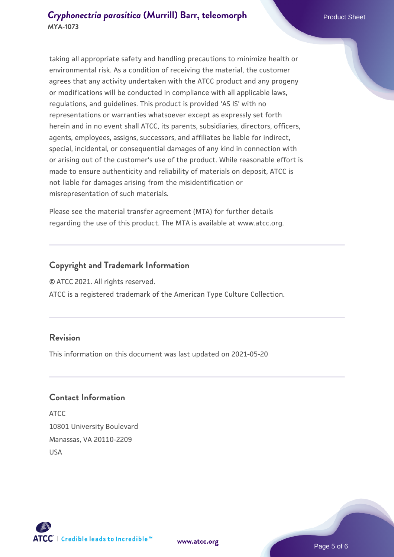taking all appropriate safety and handling precautions to minimize health or environmental risk. As a condition of receiving the material, the customer agrees that any activity undertaken with the ATCC product and any progeny or modifications will be conducted in compliance with all applicable laws, regulations, and guidelines. This product is provided 'AS IS' with no representations or warranties whatsoever except as expressly set forth herein and in no event shall ATCC, its parents, subsidiaries, directors, officers, agents, employees, assigns, successors, and affiliates be liable for indirect, special, incidental, or consequential damages of any kind in connection with or arising out of the customer's use of the product. While reasonable effort is made to ensure authenticity and reliability of materials on deposit, ATCC is not liable for damages arising from the misidentification or misrepresentation of such materials.

Please see the material transfer agreement (MTA) for further details regarding the use of this product. The MTA is available at www.atcc.org.

#### **Copyright and Trademark Information**

© ATCC 2021. All rights reserved.

ATCC is a registered trademark of the American Type Culture Collection.

#### **Revision**

This information on this document was last updated on 2021-05-20

#### **Contact Information**

ATCC 10801 University Boulevard Manassas, VA 20110-2209 USA